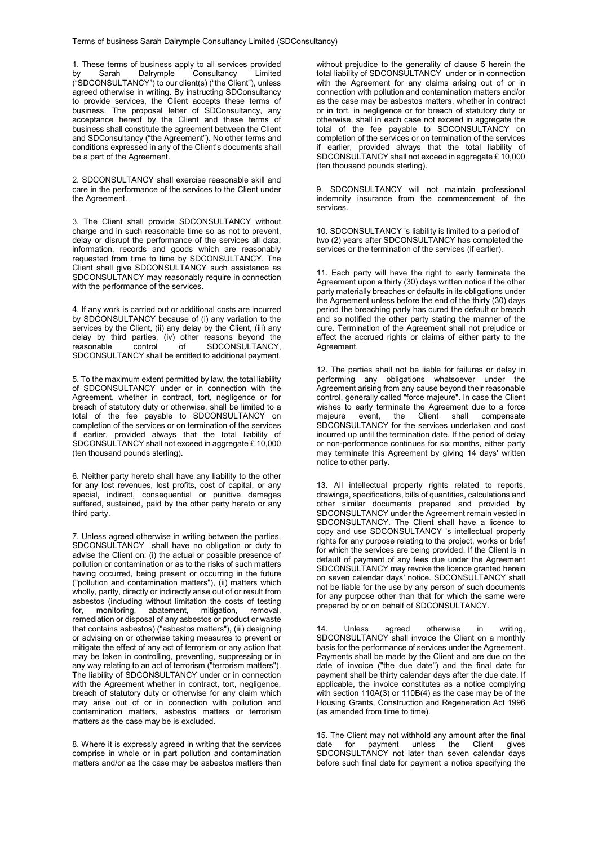1. These terms of business apply to all services provided<br>by Sarah Dalrymple Consultancy Limited by Sarah Dalrymple Consultancy ("SDCONSULTANCY") to our client(s) ("the Client"), unless agreed otherwise in writing. By instructing SDConsultancy to provide services, the Client accepts these terms of business. The proposal letter of SDConsultancy, any acceptance hereof by the Client and these terms of business shall constitute the agreement between the Client and SDConsultancy ("the Agreement"). No other terms and conditions expressed in any of the Client's documents shall be a part of the Agreement.

2. SDCONSULTANCY shall exercise reasonable skill and care in the performance of the services to the Client under the Agreement.

3. The Client shall provide SDCONSULTANCY without charge and in such reasonable time so as not to prevent, delay or disrupt the performance of the services all data, information, records and goods which are reasonably requested from time to time by SDCONSULTANCY. The Client shall give SDCONSULTANCY such assistance as SDCONSULTANCY may reasonably require in connection with the performance of the services.

4. If any work is carried out or additional costs are incurred by SDCONSULTANCY because of (i) any variation to the services by the Client, (ii) any delay by the Client, (iii) any delay by third parties, (iv) other reasons beyond the reasonable control of SDCONSULTANCY, SDCONSULTANCY, SDCONSULTANCY shall be entitled to additional payment.

5. To the maximum extent permitted by law, the total liability of SDCONSULTANCY under or in connection with the Agreement, whether in contract, tort, negligence or for breach of statutory duty or otherwise, shall be limited to a total of the fee payable to SDCONSULTANCY on completion of the services or on termination of the services if earlier, provided always that the total liability of SDCONSULTANCY shall not exceed in aggregate £ 10,000 (ten thousand pounds sterling).

6. Neither party hereto shall have any liability to the other for any lost revenues, lost profits, cost of capital, or any special, indirect, consequential or punitive damages suffered, sustained, paid by the other party hereto or any third party.

7. Unless agreed otherwise in writing between the parties, SDCONSULTANCY shall have no obligation or duty to advise the Client on: (i) the actual or possible presence of pollution or contamination or as to the risks of such matters having occurred, being present or occurring in the future ("pollution and contamination matters"), (ii) matters which wholly, partly, directly or indirectly arise out of or result from asbestos (including without limitation the costs of testing<br>for, monitoring, abatement, mitigation, removal, for, monitoring, abatement, mitigation, remediation or disposal of any asbestos or product or waste that contains asbestos) ("asbestos matters"), (iii) designing or advising on or otherwise taking measures to prevent or mitigate the effect of any act of terrorism or any action that may be taken in controlling, preventing, suppressing or in any way relating to an act of terrorism ("terrorism matters"). The liability of SDCONSULTANCY under or in connection with the Agreement whether in contract, tort, negligence, breach of statutory duty or otherwise for any claim which may arise out of or in connection with pollution and contamination matters, asbestos matters or terrorism matters as the case may be is excluded.

8. Where it is expressly agreed in writing that the services comprise in whole or in part pollution and contamination matters and/or as the case may be asbestos matters then

without prejudice to the generality of clause 5 herein the total liability of SDCONSULTANCY under or in connection with the Agreement for any claims arising out of or in connection with pollution and contamination matters and/or as the case may be asbestos matters, whether in contract or in tort, in negligence or for breach of statutory duty or otherwise, shall in each case not exceed in aggregate the total of the fee payable to SDCONSULTANCY on completion of the services or on termination of the services if earlier, provided always that the total liability of SDCONSULTANCY shall not exceed in aggregate £ 10,000 (ten thousand pounds sterling).

9. SDCONSULTANCY will not maintain professional indemnity insurance from the commencement of the services.

10. SDCONSULTANCY 's liability is limited to a period of two (2) years after SDCONSULTANCY has completed the services or the termination of the services (if earlier).

11. Each party will have the right to early terminate the Agreement upon a thirty (30) days written notice if the other party materially breaches or defaults in its obligations under the Agreement unless before the end of the thirty (30) days period the breaching party has cured the default or breach and so notified the other party stating the manner of the cure. Termination of the Agreement shall not prejudice or affect the accrued rights or claims of either party to the Agreement.

12. The parties shall not be liable for failures or delay in performing any obligations whatsoever under the Agreement arising from any cause beyond their reasonable control, generally called "force majeure". In case the Client wishes to early terminate the Agreement due to a force majeure event, the Client shall compensate SDCONSULTANCY for the services undertaken and cost incurred up until the termination date. If the period of delay or non-performance continues for six months, either party may terminate this Agreement by giving 14 days' written notice to other party.

13. All intellectual property rights related to reports, drawings, specifications, bills of quantities, calculations and other similar documents prepared and provided by SDCONSULTANCY under the Agreement remain vested in SDCONSULTANCY. The Client shall have a licence to copy and use SDCONSULTANCY 's intellectual property rights for any purpose relating to the project, works or brief for which the services are being provided. If the Client is in default of payment of any fees due under the Agreement SDCONSULTANCY may revoke the licence granted herein on seven calendar days' notice. SDCONSULTANCY shall on ecrewish the line is by any person of such documents for any purpose other than that for which the same were prepared by or on behalf of SDCONSULTANCY.

14. Unless agreed otherwise in writing, SDCONSULTANCY shall invoice the Client on a monthly basis for the performance of services under the Agreement. Payments shall be made by the Client and are due on the date of invoice (''the due date'') and the final date for payment shall be thirty calendar days after the due date. If applicable, the invoice constitutes as a notice complying with section 110A(3) or 110B(4) as the case may be of the Housing Grants, Construction and Regeneration Act 1996 (as amended from time to time).

15. The Client may not withhold any amount after the final unless the Client gives SDCONSULTANCY not later than seven calendar days before such final date for payment a notice specifying the